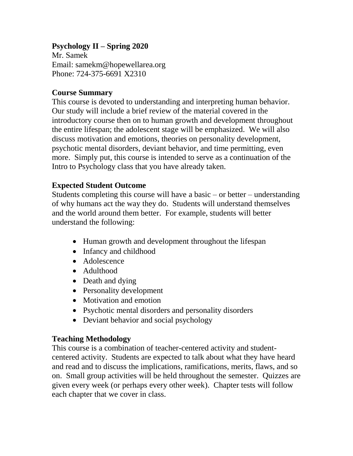### **Psychology II – Spring 2020**

Mr. Samek Email: [samekm@hopewellarea.org](mailto:samekm@hopewellarea.org) Phone: 724-375-6691 X2310

#### **Course Summary**

This course is devoted to understanding and interpreting human behavior. Our study will include a brief review of the material covered in the introductory course then on to human growth and development throughout the entire lifespan; the adolescent stage will be emphasized. We will also discuss motivation and emotions, theories on personality development, psychotic mental disorders, deviant behavior, and time permitting, even more. Simply put, this course is intended to serve as a continuation of the Intro to Psychology class that you have already taken.

#### **Expected Student Outcome**

Students completing this course will have a basic – or better – understanding of why humans act the way they do. Students will understand themselves and the world around them better. For example, students will better understand the following:

- Human growth and development throughout the lifespan
- Infancy and childhood
- Adolescence
- Adulthood
- Death and dying
- Personality development
- Motivation and emotion
- Psychotic mental disorders and personality disorders
- Deviant behavior and social psychology

#### **Teaching Methodology**

This course is a combination of teacher-centered activity and studentcentered activity. Students are expected to talk about what they have heard and read and to discuss the implications, ramifications, merits, flaws, and so on. Small group activities will be held throughout the semester. Quizzes are given every week (or perhaps every other week). Chapter tests will follow each chapter that we cover in class.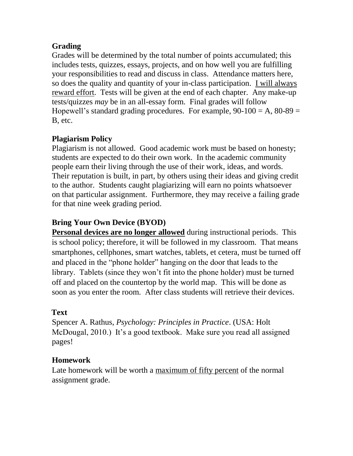## **Grading**

Grades will be determined by the total number of points accumulated; this includes tests, quizzes, essays, projects, and on how well you are fulfilling your responsibilities to read and discuss in class. Attendance matters here, so does the quality and quantity of your in-class participation. I will always reward effort. Tests will be given at the end of each chapter. Any make-up tests/quizzes *may* be in an all-essay form. Final grades will follow Hopewell's standard grading procedures. For example,  $90-100 = A$ ,  $80-89 =$ B, etc.

## **Plagiarism Policy**

Plagiarism is not allowed. Good academic work must be based on honesty; students are expected to do their own work. In the academic community people earn their living through the use of their work, ideas, and words. Their reputation is built, in part, by others using their ideas and giving credit to the author. Students caught plagiarizing will earn no points whatsoever on that particular assignment. Furthermore, they may receive a failing grade for that nine week grading period.

## **Bring Your Own Device (BYOD)**

**Personal devices are no longer allowed** during instructional periods. This is school policy; therefore, it will be followed in my classroom. That means smartphones, cellphones, smart watches, tablets, et cetera, must be turned off and placed in the "phone holder" hanging on the door that leads to the library. Tablets (since they won't fit into the phone holder) must be turned off and placed on the countertop by the world map. This will be done as soon as you enter the room. After class students will retrieve their devices.

#### **Text**

Spencer A. Rathus, *Psychology: Principles in Practice*. (USA: Holt McDougal, 2010.) It's a good textbook. Make sure you read all assigned pages!

## **Homework**

Late homework will be worth a maximum of fifty percent of the normal assignment grade.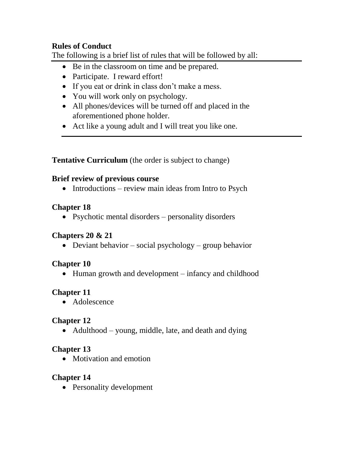### **Rules of Conduct**

The following is a brief list of rules that will be followed by all:

- Be in the classroom on time and be prepared.
- Participate. I reward effort!
- If you eat or drink in class don't make a mess.
- You will work only on psychology.
- All phones/devices will be turned off and placed in the aforementioned phone holder.
- Act like a young adult and I will treat you like one.

**Tentative Curriculum** (the order is subject to change)

#### **Brief review of previous course**

• Introductions – review main ideas from Intro to Psych

## **Chapter 18**

• Psychotic mental disorders – personality disorders

## **Chapters 20 & 21**

• Deviant behavior – social psychology – group behavior

# **Chapter 10**

• Human growth and development – infancy and childhood

# **Chapter 11**

• Adolescence

# **Chapter 12**

• Adulthood – young, middle, late, and death and dying

# **Chapter 13**

• Motivation and emotion

# **Chapter 14**

• Personality development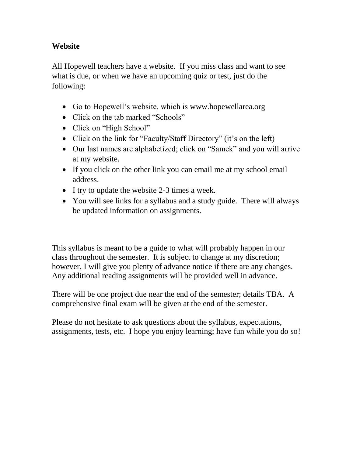### **Website**

All Hopewell teachers have a website. If you miss class and want to see what is due, or when we have an upcoming quiz or test, just do the following:

- Go to Hopewell's website, which is [www.hopewellarea.org](http://www.hopewellarea.org/)
- Click on the tab marked "Schools"
- Click on "High School"
- Click on the link for "Faculty/Staff Directory" (it's on the left)
- Our last names are alphabetized; click on "Samek" and you will arrive at my website.
- If you click on the other link you can email me at my school email address.
- I try to update the website 2-3 times a week.
- You will see links for a syllabus and a study guide. There will always be updated information on assignments.

This syllabus is meant to be a guide to what will probably happen in our class throughout the semester. It is subject to change at my discretion; however, I will give you plenty of advance notice if there are any changes. Any additional reading assignments will be provided well in advance.

There will be one project due near the end of the semester; details TBA. A comprehensive final exam will be given at the end of the semester.

Please do not hesitate to ask questions about the syllabus, expectations, assignments, tests, etc. I hope you enjoy learning; have fun while you do so!